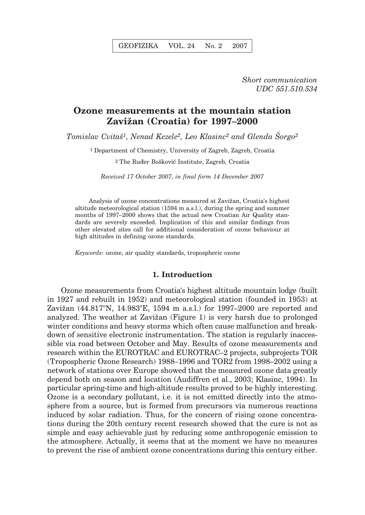*Short communication UDC 551.510.534*

# **Ozone measurements at the mountain station Zavi`an (Croatia) for 1997–2000**

*Tomislav Cvitaš<sup>1</sup>, Nenad Kezele<sup>2</sup>, Leo Klasinc<sup>2</sup> and Glenda Sorgo<sup>2</sup>* 

1 Department of Chemistry, University of Zagreb, Zagreb, Croatia

<sup>2</sup> The Ruđer Bošković Institute, Zagreb, Croatia

*Received 17 October 2007, in final form 14 December 2007*

Analysis of ozone concentrations measured at Zavižan, Croatia's highest altitude meteorological station (1594 m a.s.l.), during the spring and summer months of 1997–2000 shows that the actual new Croatian Air Quality standards are severely exceeded. Implication of this and similar findings from other elevated sites call for additional consideration of ozone behaviour at high altitudes in defining ozone standards.

*Keywords*: ozone, air quality standards, tropospheric ozone

### **1. Introduction**

Ozone measurements from Croatia's highest altitude mountain lodge (built in 1927 and rebuilt in 1952) and meteorological station (founded in 1953) at Zavižan (44.817°N, 14.983°E, 1594 m a.s.l.) for 1997–2000 are reported and analyzed. The weather at Zavižan (Figure 1) is very harsh due to prolonged winter conditions and heavy storms which often cause malfunction and breakdown of sensitive electronic instrumentation. The station is regularly inaccessible via road between October and May. Results of ozone measurements and research within the EUROTRAC and EUROTRAC–2 projects, subprojects TOR (Tropospheric Ozone Research) 1988–1996 and TOR2 from 1998–2002 using a network of stations over Europe showed that the measured ozone data greatly depend both on season and location (Audiffren et al., 2003; Klasinc, 1994). In particular spring-time and high-altitude results proved to be highly interesting. Ozone is a secondary pollutant, i.e. it is not emitted directly into the atmosphere from a source, but is formed from precursors via numerous reactions induced by solar radiation. Thus, for the concern of rising ozone concentrations during the 20th century recent research showed that the cure is not as simple and easy achievable just by reducing some anthropogenic emission to the atmosphere. Actually, it seems that at the moment we have no measures to prevent the rise of ambient ozone concentrations during this century either.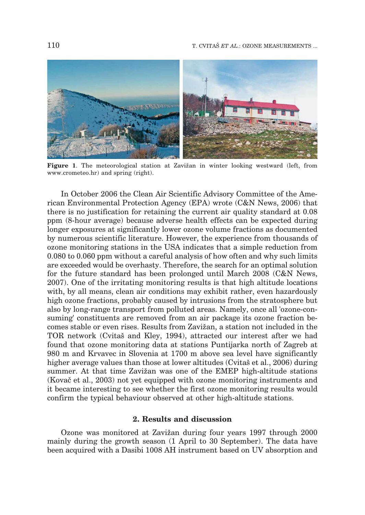

Figure 1. The meteorological station at Zavižan in winter looking westward (left, from www.crometeo.hr) and spring (right).

In October 2006 the Clean Air Scientific Advisory Committee of the American Environmental Protection Agency (EPA) wrote (C&N News, 2006) that there is no justification for retaining the current air quality standard at 0.08 ppm (8-hour average) because adverse health effects can be expected during longer exposures at significantly lower ozone volume fractions as documented by numerous scientific literature. However, the experience from thousands of ozone monitoring stations in the USA indicates that a simple reduction from 0.080 to 0.060 ppm without a careful analysis of how often and why such limits are exceeded would be overhasty. Therefore, the search for an optimal solution for the future standard has been prolonged until March 2008 (C&N News, 2007). One of the irritating monitoring results is that high altitude locations with, by all means, clean air conditions may exhibit rather, even hazardously high ozone fractions, probably caused by intrusions from the stratosphere but also by long-range transport from polluted areas. Namely, once all 'ozone-consuming' constituents are removed from an air package its ozone fraction becomes stable or even rises. Results from Zavižan, a station not included in the TOR network (Cvita) and Kley, 1994), attracted our interest after we had found that ozone monitoring data at stations Puntijarka north of Zagreb at 980 m and Krvavec in Slovenia at 1700 m above sea level have significantly higher average values than those at lower altitudes (Cvita) et al., 2006) during summer. At that time Zavižan was one of the EMEP high-altitude stations (Kovač et al., 2003) not yet equipped with ozone monitoring instruments and it became interesting to see whether the first ozone monitoring results would confirm the typical behaviour observed at other high-altitude stations.

# **2. Results and discussion**

Ozone was monitored at Zavižan during four years 1997 through 2000 mainly during the growth season (1 April to 30 September). The data have been acquired with a Dasibi 1008 AH instrument based on UV absorption and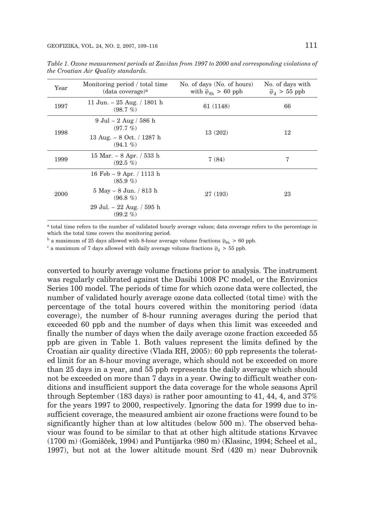| Year | Monitoring period / total time<br>(data coverage) <sup>a</sup>                                                                  | No. of days (No. of hours)<br>with $\bar{\varphi}_{8h} > 60$ ppb | No. of days with<br>$\overline{\varphi}_d > 55$ ppb |
|------|---------------------------------------------------------------------------------------------------------------------------------|------------------------------------------------------------------|-----------------------------------------------------|
| 1997 | 11 Jun. – $25$ Aug. / 1801 h<br>(98.7%)                                                                                         | 61 (1148)                                                        | 66                                                  |
| 1998 | $9 \text{ Jul} - 2 \text{ Aug} / 586 \text{ h}$<br>$(97.7\%)$<br>13 Aug. $-8$ Oct. / 1287 h<br>$(94.1\% )$                      | 13 (202)                                                         | 12                                                  |
| 1999 | 15 Mar. $- 8$ Apr. $/ 533$ h<br>$(92.5\% )$                                                                                     | 7(84)                                                            | 7                                                   |
| 2000 | 16 Feb – 9 Apr. / 1113 h<br>$(85.9\%)$<br>$5$ May $-8$ Jun. $/ 813$ h<br>$(96.8\%)$<br>29 Jul. – 22 Aug. / 595 h<br>$(99.2\% )$ | 27 (193)                                                         | 23                                                  |

*Table 1. Ozone measurement periods at Zavi`an from 1997 to 2000 and corresponding violations of the Croatian Air Quality standards.*

<sup>a</sup> total time refers to the number of validated hourly average values; data coverage refers to the percentage in which the total time covers the monitoring period.

<sup>b</sup> a maximum of 25 days allowed with 8-hour average volume fractions  $\bar{\varphi}_{\rm Sh} > 60$  ppb.

 $^c$  a maximum of 7 days allowed with daily average volume fractions  $\overline{\varphi}_{\rm d}$  > 55 ppb.

converted to hourly average volume fractions prior to analysis. The instrument was regularly calibrated against the Dasibi 1008 PC model, or the Environics Series 100 model. The periods of time for which ozone data were collected, the number of validated hourly average ozone data collected (total time) with the percentage of the total hours covered within the monitoring period (data coverage), the number of 8-hour running averages during the period that exceeded 60 ppb and the number of days when this limit was exceeded and finally the number of days when the daily average ozone fraction exceeded 55 ppb are given in Table 1. Both values represent the limits defined by the Croatian air quality directive (Vlada RH, 2005): 60 ppb represents the tolerated limit for an 8-hour moving average, which should not be exceeded on more than 25 days in a year, and 55 ppb represents the daily average which should not be exceeded on more than 7 days in a year. Owing to difficult weather conditions and insufficient support the data coverage for the whole seasons April through September (183 days) is rather poor amounting to 41, 44, 4, and 37% for the years 1997 to 2000, respectively. Ignoring the data for 1999 due to insufficient coverage, the measured ambient air ozone fractions were found to be significantly higher than at low altitudes (below 500 m). The observed behaviour was found to be similar to that at other high altitude stations Krvavec (1700 m) (Gomi{~ek, 1994) and Puntijarka (980 m) (Klasinc, 1994; Scheel et al.*,* 1997), but not at the lower altitude mount Srd  $(420 \text{ m})$  near Dubrovnik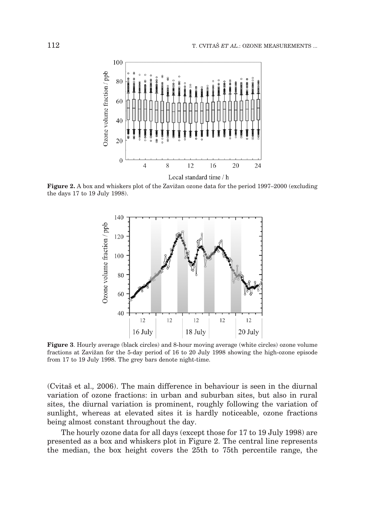

Figure 2. A box and whiskers plot of the Zavižan ozone data for the period 1997–2000 (excluding the days 17 to 19 July 1998).



**Figure 3**. Hourly average (black circles) and 8-hour moving average (white circles) ozone volume fractions at Zavižan for the 5-day period of 16 to 20 July 1998 showing the high-ozone episode from 17 to 19 July 1998. The grey bars denote night-time.

(Cvita{ et al.*,* 2006). The main difference in behaviour is seen in the diurnal variation of ozone fractions: in urban and suburban sites, but also in rural sites, the diurnal variation is prominent, roughly following the variation of sunlight, whereas at elevated sites it is hardly noticeable, ozone fractions being almost constant throughout the day.

The hourly ozone data for all days (except those for 17 to 19 July 1998) are presented as a box and whiskers plot in Figure 2. The central line represents the median, the box height covers the 25th to 75th percentile range, the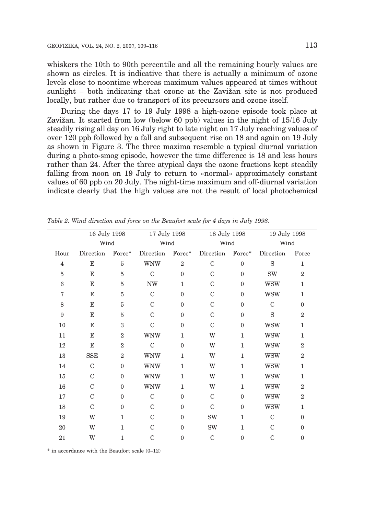whiskers the 10th to 90th percentile and all the remaining hourly values are shown as circles. It is indicative that there is actually a minimum of ozone levels close to noontime whereas maximum values appeared at times without sunlight  $-$  both indicating that ozone at the Zavižan site is not produced locally, but rather due to transport of its precursors and ozone itself.

During the days 17 to 19 July 1998 a high-ozone episode took place at Zavižan. It started from low (below 60 ppb) values in the night of  $15/16$  July steadily rising all day on 16 July right to late night on 17 July reaching values of over 120 ppb followed by a fall and subsequent rise on 18 and again on 19 July as shown in Figure 3. The three maxima resemble a typical diurnal variation during a photo-smog episode, however the time difference is 18 and less hours rather than 24. After the three atypical days the ozone fractions kept steadily falling from noon on 19 July to return to »normal« approximately constant values of 60 ppb on 20 July. The night-time maximum and off-diurnal variation indicate clearly that the high values are not the result of local photochemical

|                 | 16 July 1998<br>Wind |                | 17 July 1998<br>Wind |                | 18 July 1998<br>Wind |                  | 19 July 1998<br>Wind |                |
|-----------------|----------------------|----------------|----------------------|----------------|----------------------|------------------|----------------------|----------------|
|                 |                      |                |                      |                |                      |                  |                      |                |
| Hour            | Direction            | Force*         | Direction            | $Force*$       | Direction            | Force*           | Direction            | Force          |
| $\overline{4}$  | $\mathbf E$          | $\overline{5}$ | <b>WNW</b>           | $\overline{2}$ | $\mathcal{C}$        | $\mathbf{0}$     | S                    | $\mathbf{1}$   |
| $\overline{5}$  | E                    | 5              | $\mathcal{C}$        | $\Omega$       | $\mathcal{C}$        | $\mathbf{0}$     | <b>SW</b>            | $\overline{2}$ |
| $6\phantom{1}6$ | E                    | 5              | <b>NW</b>            | $\mathbf{1}$   | $\mathcal{C}$        | $\mathbf{0}$     | <b>WSW</b>           | $\mathbf{1}$   |
| $\sqrt{ }$      | E                    | 5              | $\mathbf C$          | $\theta$       | $\mathcal{C}$        | $\boldsymbol{0}$ | <b>WSW</b>           | $\mathbf{1}$   |
| 8               | E                    | 5              | $\mathcal{C}$        | $\Omega$       | $\mathcal{C}$        | $\mathbf{0}$     | $\mathcal{C}$        | $\Omega$       |
| 9               | E                    | 5              | $\mathcal{C}$        | $\Omega$       | $\mathcal{C}$        | $\boldsymbol{0}$ | S                    | $\overline{2}$ |
| 10              | E                    | 3              | $\mathcal{C}$        | $\Omega$       | $\mathcal{C}$        | $\mathbf{0}$     | <b>WSW</b>           | 1              |
| 11              | $\mathbf E$          | $\overline{2}$ | <b>WNW</b>           | $\mathbf{1}$   | W                    | $\mathbf{1}$     | <b>WSW</b>           | $\mathbf{1}$   |
| 12              | $\mathbf E$          | $\overline{2}$ | $\mathcal{C}$        | $\Omega$       | W                    | $\mathbf{1}$     | <b>WSW</b>           | $\overline{2}$ |
| 13              | <b>SSE</b>           | $\overline{2}$ | <b>WNW</b>           | $\mathbf{1}$   | W                    | $\mathbf{1}$     | <b>WSW</b>           | $\overline{2}$ |
| 14              | $\mathcal{C}$        | $\theta$       | <b>WNW</b>           | $\mathbf{1}$   | W                    | $\mathbf{1}$     | <b>WSW</b>           | $\mathbf{1}$   |
| 15              | $\mathcal{C}$        | $\theta$       | <b>WNW</b>           | 1              | W                    | $\mathbf{1}$     | <b>WSW</b>           | 1              |
| $16\,$          | $\mathcal{C}$        | $\theta$       | <b>WNW</b>           | $\mathbf{1}$   | W                    | $\mathbf{1}$     | <b>WSW</b>           | $\overline{2}$ |
| 17              | C                    | $\theta$       | $\mathcal{C}$        | $\Omega$       | $\mathcal{C}$        | $\mathbf{0}$     | <b>WSW</b>           | $\overline{2}$ |
| 18              | $\mathcal{C}$        | $\mathbf{0}$   | $\mathbf C$          | $\Omega$       | $\mathcal{C}$        | $\mathbf{0}$     | <b>WSW</b>           | $\mathbf{1}$   |
| 19              | W                    | 1              | $\mathcal{C}$        | $\Omega$       | <b>SW</b>            | $\mathbf{1}$     | $\mathcal{C}$        | $\Omega$       |
| 20              | W                    | $\mathbf{1}$   | $\mathbf C$          | $\Omega$       | <b>SW</b>            | $\mathbf{1}$     | $\mathcal{C}$        | $\mathbf{0}$   |
| 21              | W                    | $\mathbf{1}$   | $\mathbf C$          | $\mathbf{0}$   | $\mathcal{C}$        | $\mathbf{0}$     | $\mathcal{C}$        | $\mathbf{0}$   |

*Table 2. Wind direction and force on the Beaufort scale for 4 days in July 1998.*

 $*$  in accordance with the Beaufort scale  $(0-12)$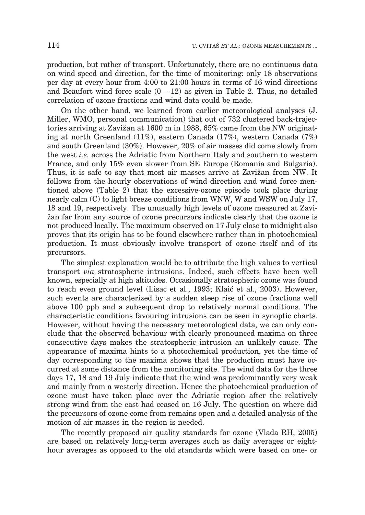production, but rather of transport. Unfortunately, there are no continuous data on wind speed and direction, for the time of monitoring: only 18 observations per day at every hour from 4:00 to 21:00 hours in terms of 16 wind directions and Beaufort wind force scale  $(0 - 12)$  as given in Table 2. Thus, no detailed correlation of ozone fractions and wind data could be made.

On the other hand, we learned from earlier meteorological analyses (J. Miller, WMO, personal communication) that out of 732 clustered back-trajectories arriving at Zavižan at 1600 m in 1988, 65% came from the NW originating at north Greenland (11%), eastern Canada (17%), western Canada (7%) and south Greenland (30%). However, 20% of air masses did come slowly from the west *i.e.* across the Adriatic from Northern Italy and southern to western France, and only 15% even slower from SE Europe (Romania and Bulgaria). Thus, it is safe to say that most air masses arrive at Zavižan from NW. It follows from the hourly observations of wind direction and wind force mentioned above (Table 2) that the excessive-ozone episode took place during nearly calm (C) to light breeze conditions from WNW, W and WSW on July 17, 18 and 19, respectively. The unusually high levels of ozone measured at Zavi- `an far from any source of ozone precursors indicate clearly that the ozone is not produced locally. The maximum observed on 17 July close to midnight also proves that its origin has to be found elsewhere rather than in photochemical production. It must obviously involve transport of ozone itself and of its precursors.

The simplest explanation would be to attribute the high values to vertical transport *via* stratospheric intrusions. Indeed, such effects have been well known, especially at high altitudes. Occasionally stratospheric ozone was found to reach even ground level (Lisac et al., 1993; Klaić et al., 2003). However, such events are characterized by a sudden steep rise of ozone fractions well above 100 ppb and a subsequent drop to relatively normal conditions. The characteristic conditions favouring intrusions can be seen in synoptic charts. However, without having the necessary meteorological data, we can only conclude that the observed behaviour with clearly pronounced maxima on three consecutive days makes the stratospheric intrusion an unlikely cause. The appearance of maxima hints to a photochemical production, yet the time of day corresponding to the maxima shows that the production must have occurred at some distance from the monitoring site. The wind data for the three days 17, 18 and 19 July indicate that the wind was predominantly very weak and mainly from a westerly direction. Hence the photochemical production of ozone must have taken place over the Adriatic region after the relatively strong wind from the east had ceased on 16 July. The question on where did the precursors of ozone come from remains open and a detailed analysis of the motion of air masses in the region is needed.

The recently proposed air quality standards for ozone (Vlada RH, 2005) are based on relatively long-term averages such as daily averages or eighthour averages as opposed to the old standards which were based on one- or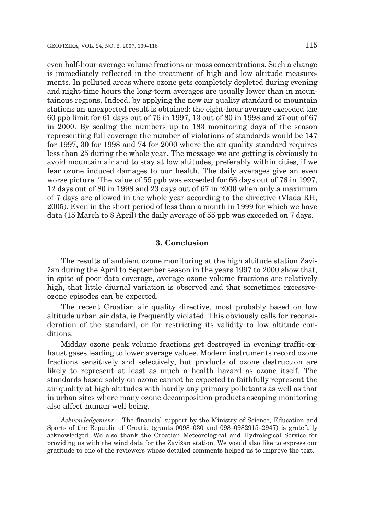even half-hour average volume fractions or mass concentrations. Such a change is immediately reflected in the treatment of high and low altitude measurements. In polluted areas where ozone gets completely depleted during evening and night-time hours the long-term averages are usually lower than in mountainous regions. Indeed, by applying the new air quality standard to mountain stations an unexpected result is obtained: the eight-hour average exceeded the 60 ppb limit for 61 days out of 76 in 1997, 13 out of 80 in 1998 and 27 out of 67 in 2000. By scaling the numbers up to 183 monitoring days of the season representing full coverage the number of violations of standards would be 147 for 1997, 30 for 1998 and 74 for 2000 where the air quality standard requires less than 25 during the whole year. The message we are getting is obviously to avoid mountain air and to stay at low altitudes, preferably within cities, if we fear ozone induced damages to our health. The daily averages give an even worse picture. The value of 55 ppb was exceeded for 66 days out of 76 in 1997, 12 days out of 80 in 1998 and 23 days out of 67 in 2000 when only a maximum of 7 days are allowed in the whole year according to the directive (Vlada RH, 2005). Even in the short period of less than a month in 1999 for which we have data (15 March to 8 April) the daily average of 55 ppb was exceeded on 7 days.

### **3. Conclusion**

The results of ambient ozone monitoring at the high altitude station Zavi- `an during the April to September season in the years 1997 to 2000 show that, in spite of poor data coverage, average ozone volume fractions are relatively high, that little diurnal variation is observed and that sometimes excessiveozone episodes can be expected.

The recent Croatian air quality directive, most probably based on low altitude urban air data, is frequently violated. This obviously calls for reconsideration of the standard, or for restricting its validity to low altitude conditions.

Midday ozone peak volume fractions get destroyed in evening traffic-exhaust gases leading to lower average values. Modern instruments record ozone fractions sensitively and selectively, but products of ozone destruction are likely to represent at least as much a health hazard as ozone itself. The standards based solely on ozone cannot be expected to faithfully represent the air quality at high altitudes with hardly any primary pollutants as well as that in urban sites where many ozone decomposition products escaping monitoring also affect human well being.

*Acknowledgement* – The financial support by the Ministry of Science, Education and Sports of the Republic of Croatia (grants 0098–030 and 098–0982915–2947) is gratefully acknowledged. We also thank the Croatian Meteorological and Hydrological Service for providing us with the wind data for the Zavi`an station. We would also like to express our gratitude to one of the reviewers whose detailed comments helped us to improve the text.